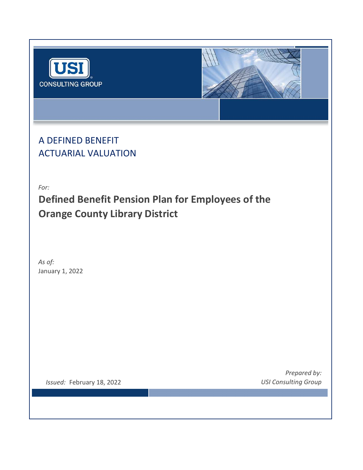



A DEFINED BENEFIT ACTUARIAL VALUATION

*For:*

**Defined Benefit Pension Plan for Employees of the Orange County Library District**

January 1, 2022 *As of:*

*Issued:* February 18, 2022 *USI Consulting Group*

*Prepared by:*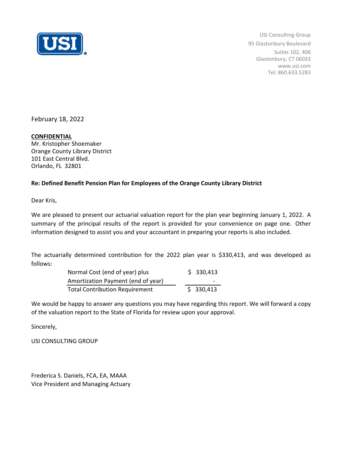

USI Consulting Group 95 Glastonbury Boulevard Suites 102, 406 Glastonbury, CT 06033 www.usi.com Tel: 860.633.5283

February 18, 2022

## **CONFIDENTIAL**

Mr. Kristopher Shoemaker Orange County Library District 101 East Central Blvd. Orlando, FL 32801

## **Re: Defined Benefit Pension Plan for Employees of the Orange County Library District**

Dear Kris,

We are pleased to present our actuarial valuation report for the plan year beginning January 1, 2022. A summary of the principal results of the report is provided for your convenience on page one. Other information designed to assist you and your accountant in preparing your reports is also included.

The actuarially determined contribution for the 2022 plan year is \$330,413, and was developed as follows:

| Normal Cost (end of year) plus        | \$330,413                |
|---------------------------------------|--------------------------|
| Amortization Payment (end of year)    | $\overline{\phantom{0}}$ |
| <b>Total Contribution Requirement</b> | \$330,413                |

We would be happy to answer any questions you may have regarding this report. We will forward a copy of the valuation report to the State of Florida for review upon your approval.

Sincerely,

USI CONSULTING GROUP

Frederica S. Daniels, FCA, EA, MAAA Vice President and Managing Actuary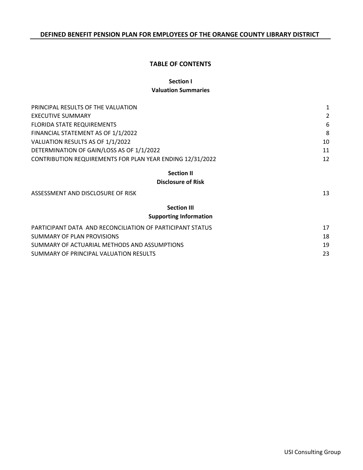## **TABLE OF CONTENTS**

# **Section I**

### **Valuation Summaries**

| PRINCIPAL RESULTS OF THE VALUATION                        | $\mathbf{1}$ |
|-----------------------------------------------------------|--------------|
| <b>EXECUTIVE SUMMARY</b>                                  | 2            |
| <b>FLORIDA STATE REQUIREMENTS</b>                         | 6            |
| FINANCIAL STATEMENT AS OF 1/1/2022                        | 8            |
| VALUATION RESULTS AS OF 1/1/2022                          | 10           |
| DETERMINATION OF GAIN/LOSS AS OF 1/1/2022                 | 11           |
| CONTRIBUTION REQUIREMENTS FOR PLAN YEAR ENDING 12/31/2022 | 12           |
| <b>Section II</b>                                         |              |
| <b>Disclosure of Risk</b>                                 |              |
| ASSESSMENT AND DISCLOSURE OF RISK                         | 13           |
| <b>Section III</b>                                        |              |
| <b>Supporting Information</b>                             |              |
| PARTICIPANT DATA AND RECONCILIATION OF PARTICIPANT STATUS | 17           |
| SUMMARY OF PLAN PROVISIONS                                | 18           |
| SUMMARY OF ACTUARIAL METHODS AND ASSUMPTIONS              | 19           |
| SUMMARY OF PRINCIPAL VALUATION RESULTS                    | 23           |
|                                                           |              |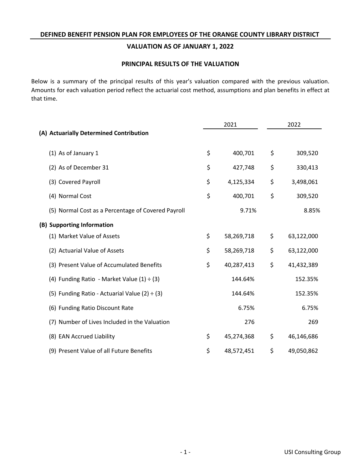## **VALUATION AS OF JANUARY 1, 2022**

## **PRINCIPAL RESULTS OF THE VALUATION**

Below is a summary of the principal results of this year's valuation compared with the previous valuation. Amounts for each valuation period reflect the actuarial cost method, assumptions and plan benefits in effect at that time.

|                                                    |    | 2021       |    | 2022       |  |
|----------------------------------------------------|----|------------|----|------------|--|
| (A) Actuarially Determined Contribution            |    |            |    |            |  |
| (1) As of January 1                                | \$ | 400,701    | \$ | 309,520    |  |
| (2) As of December 31                              | \$ | 427,748    | \$ | 330,413    |  |
| (3) Covered Payroll                                | \$ | 4,125,334  | \$ | 3,498,061  |  |
| (4) Normal Cost                                    | \$ | 400,701    | \$ | 309,520    |  |
| (5) Normal Cost as a Percentage of Covered Payroll |    | 9.71%      |    | 8.85%      |  |
| (B) Supporting Information                         |    |            |    |            |  |
| (1) Market Value of Assets                         | \$ | 58,269,718 | \$ | 63,122,000 |  |
| (2) Actuarial Value of Assets                      | \$ | 58,269,718 | \$ | 63,122,000 |  |
| (3) Present Value of Accumulated Benefits          | \$ | 40,287,413 | \$ | 41,432,389 |  |
| (4) Funding Ratio - Market Value $(1) \div (3)$    |    | 144.64%    |    | 152.35%    |  |
| (5) Funding Ratio - Actuarial Value (2) $\div$ (3) |    | 144.64%    |    | 152.35%    |  |
| (6) Funding Ratio Discount Rate                    |    | 6.75%      |    | 6.75%      |  |
| (7) Number of Lives Included in the Valuation      |    | 276        |    | 269        |  |
| (8) EAN Accrued Liability                          | \$ | 45,274,368 | \$ | 46,146,686 |  |
| (9) Present Value of all Future Benefits           | \$ | 48,572,451 | \$ | 49,050,862 |  |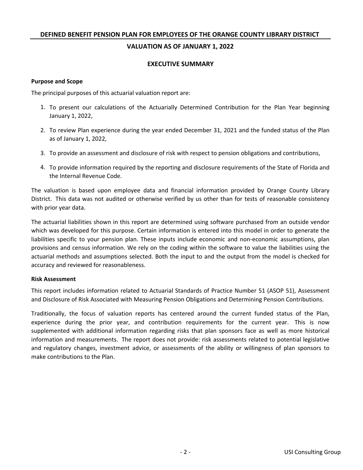## **VALUATION AS OF JANUARY 1, 2022**

### **EXECUTIVE SUMMARY**

### **Purpose and Scope**

The principal purposes of this actuarial valuation report are:

- 1. To present our calculations of the Actuarially Determined Contribution for the Plan Year beginning January 1, 2022,
- 2. To review Plan experience during the year ended December 31, 2021 and the funded status of the Plan as of January 1, 2022,
- 3. To provide an assessment and disclosure of risk with respect to pension obligations and contributions,
- 4. To provide information required by the reporting and disclosure requirements of the State of Florida and the Internal Revenue Code.

The valuation is based upon employee data and financial information provided by Orange County Library District. This data was not audited or otherwise verified by us other than for tests of reasonable consistency with prior year data.

The actuarial liabilities shown in this report are determined using software purchased from an outside vendor which was developed for this purpose. Certain information is entered into this model in order to generate the liabilities specific to your pension plan. These inputs include economic and non-economic assumptions, plan provisions and census information. We rely on the coding within the software to value the liabilities using the actuarial methods and assumptions selected. Both the input to and the output from the model is checked for accuracy and reviewed for reasonableness.

### **Risk Assessment**

This report includes information related to Actuarial Standards of Practice Number 51 (ASOP 51), Assessment and Disclosure of Risk Associated with Measuring Pension Obligations and Determining Pension Contributions.

Traditionally, the focus of valuation reports has centered around the current funded status of the Plan, experience during the prior year, and contribution requirements for the current year. This is now supplemented with additional information regarding risks that plan sponsors face as well as more historical information and measurements. The report does not provide: risk assessments related to potential legislative and regulatory changes, investment advice, or assessments of the ability or willingness of plan sponsors to make contributions to the Plan.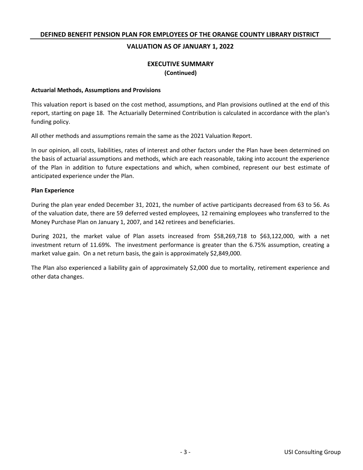## **VALUATION AS OF JANUARY 1, 2022**

## **EXECUTIVE SUMMARY (Continued)**

### **Actuarial Methods, Assumptions and Provisions**

This valuation report is based on the cost method, assumptions, and Plan provisions outlined at the end of this report, starting on page 18. The Actuarially Determined Contribution is calculated in accordance with the plan's funding policy.

All other methods and assumptions remain the same as the 2021 Valuation Report.

In our opinion, all costs, liabilities, rates of interest and other factors under the Plan have been determined on the basis of actuarial assumptions and methods, which are each reasonable, taking into account the experience of the Plan in addition to future expectations and which, when combined, represent our best estimate of anticipated experience under the Plan.

### **Plan Experience**

During the plan year ended December 31, 2021, the number of active participants decreased from 63 to 56. As of the valuation date, there are 59 deferred vested employees, 12 remaining employees who transferred to the Money Purchase Plan on January 1, 2007, and 142 retirees and beneficiaries.

During 2021, the market value of Plan assets increased from \$58,269,718 to \$63,122,000, with a net investment return of 11.69%. The investment performance is greater than the 6.75% assumption, creating a market value gain. On a net return basis, the gain is approximately \$2,849,000.

The Plan also experienced a liability gain of approximately \$2,000 due to mortality, retirement experience and other data changes.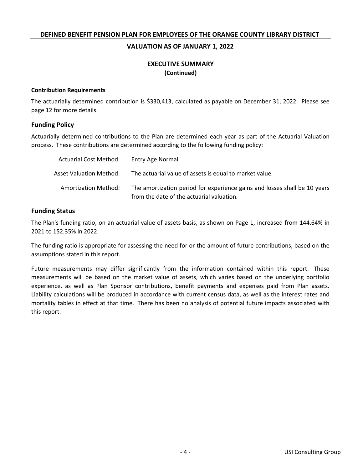### **VALUATION AS OF JANUARY 1, 2022**

## **EXECUTIVE SUMMARY (Continued)**

### **Contribution Requirements**

The actuarially determined contribution is \$330,413, calculated as payable on December 31, 2022. Please see page 12 for more details.

### **Funding Policy**

Actuarially determined contributions to the Plan are determined each year as part of the Actuarial Valuation process. These contributions are determined according to the following funding policy:

| Actuarial Cost Method:      | Entry Age Normal                                                                                                       |
|-----------------------------|------------------------------------------------------------------------------------------------------------------------|
| Asset Valuation Method:     | The actuarial value of assets is equal to market value.                                                                |
| <b>Amortization Method:</b> | The amortization period for experience gains and losses shall be 10 years<br>from the date of the actuarial valuation. |

## **Funding Status**

The Plan's funding ratio, on an actuarial value of assets basis, as shown on Page 1, increased from 144.64% in 2021 to 152.35% in 2022.

The funding ratio is appropriate for assessing the need for or the amount of future contributions, based on the assumptions stated in this report.

Future measurements may differ significantly from the information contained within this report. These measurements will be based on the market value of assets, which varies based on the underlying portfolio experience, as well as Plan Sponsor contributions, benefit payments and expenses paid from Plan assets. Liability calculations will be produced in accordance with current census data, as well as the interest rates and mortality tables in effect at that time. There has been no analysis of potential future impacts associated with this report.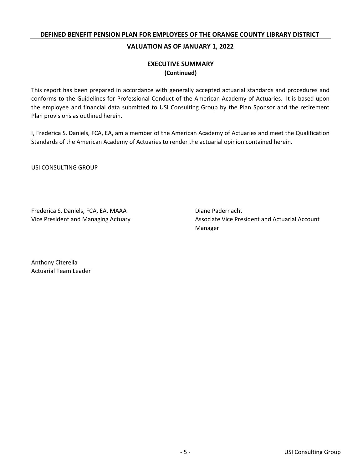## **VALUATION AS OF JANUARY 1, 2022**

# **(Continued) EXECUTIVE SUMMARY**

This report has been prepared in accordance with generally accepted actuarial standards and procedures and conforms to the Guidelines for Professional Conduct of the American Academy of Actuaries. It is based upon the employee and financial data submitted to USI Consulting Group by the Plan Sponsor and the retirement Plan provisions as outlined herein.

I, Frederica S. Daniels, FCA, EA, am a member of the American Academy of Actuaries and meet the Qualification Standards of the American Academy of Actuaries to render the actuarial opinion contained herein.

USI CONSULTING GROUP

Frederica S. Daniels, FCA, EA, MAAA Diane Padernacht

Vice President and Managing Actuary **All and Actuary Associate Vice President and Actuarial Account** Manager

Actuarial Team Leader Anthony Citerella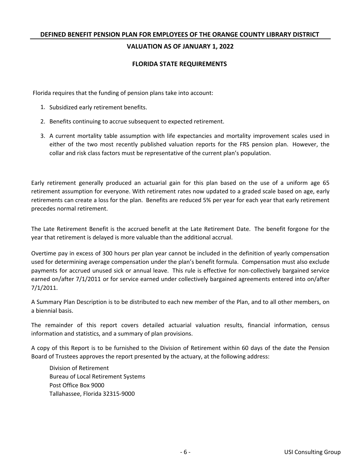## **VALUATION AS OF JANUARY 1, 2022**

### **FLORIDA STATE REQUIREMENTS**

Florida requires that the funding of pension plans take into account:

- 1. Subsidized early retirement benefits.
- 2. Benefits continuing to accrue subsequent to expected retirement.
- 3. A current mortality table assumption with life expectancies and mortality improvement scales used in either of the two most recently published valuation reports for the FRS pension plan. However, the collar and risk class factors must be representative of the current plan's population.

Early retirement generally produced an actuarial gain for this plan based on the use of a uniform age 65 retirement assumption for everyone. With retirement rates now updated to a graded scale based on age, early retirements can create a loss for the plan. Benefits are reduced 5% per year for each year that early retirement precedes normal retirement.

The Late Retirement Benefit is the accrued benefit at the Late Retirement Date. The benefit forgone for the year that retirement is delayed is more valuable than the additional accrual.

Overtime pay in excess of 300 hours per plan year cannot be included in the definition of yearly compensation used for determining average compensation under the plan's benefit formula. Compensation must also exclude payments for accrued unused sick or annual leave. This rule is effective for non-collectively bargained service earned on/after 7/1/2011 or for service earned under collectively bargained agreements entered into on/after 7/1/2011.

A Summary Plan Description is to be distributed to each new member of the Plan, and to all other members, on a biennial basis.

The remainder of this report covers detailed actuarial valuation results, financial information, census information and statistics, and a summary of plan provisions.

A copy of this Report is to be furnished to the Division of Retirement within 60 days of the date the Pension Board of Trustees approves the report presented by the actuary, at the following address:

Division of Retirement Bureau of Local Retirement Systems Post Office Box 9000 Tallahassee, Florida 32315-9000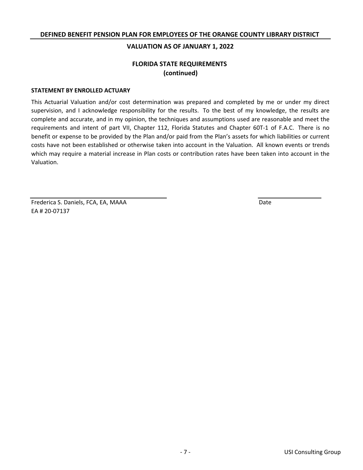### **VALUATION AS OF JANUARY 1, 2022**

# **FLORIDA STATE REQUIREMENTS (continued)**

### **STATEMENT BY ENROLLED ACTUARY**

This Actuarial Valuation and/or cost determination was prepared and completed by me or under my direct supervision, and I acknowledge responsibility for the results. To the best of my knowledge, the results are complete and accurate, and in my opinion, the techniques and assumptions used are reasonable and meet the requirements and intent of part VII, Chapter 112, Florida Statutes and Chapter 60T-1 of F.A.C. There is no benefit or expense to be provided by the Plan and/or paid from the Plan's assets for which liabilities or current costs have not been established or otherwise taken into account in the Valuation. All known events or trends which may require a material increase in Plan costs or contribution rates have been taken into account in the Valuation.

Frederica S. Daniels, FCA, EA, MAAA EA # 20-07137

Date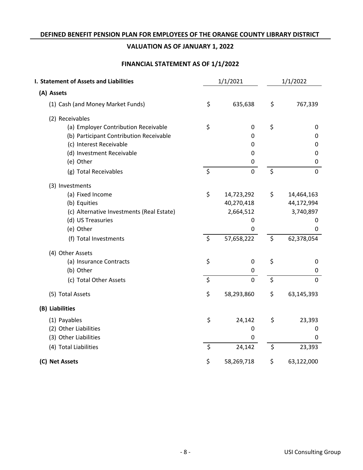# **VALUATION AS OF JANUARY 1, 2022**

# **FINANCIAL STATEMENT AS OF 1/1/2022**

| 1/1/2021<br>I. Statement of Assets and Liabilities |    |             | 1/1/2022 |                |
|----------------------------------------------------|----|-------------|----------|----------------|
| (A) Assets                                         |    |             |          |                |
| (1) Cash (and Money Market Funds)                  | \$ | 635,638     | \$       | 767,339        |
| (2) Receivables                                    |    |             |          |                |
| (a) Employer Contribution Receivable               | \$ | 0           | \$       | 0              |
| (b) Participant Contribution Receivable            |    | 0           |          | 0              |
| (c) Interest Receivable                            |    | 0           |          | 0              |
| (d) Investment Receivable                          |    | $\mathbf 0$ |          | 0              |
| (e) Other                                          |    | 0           |          | 0              |
| (g) Total Receivables                              | \$ | $\pmb{0}$   | \$       | $\mathbf 0$    |
| (3) Investments                                    |    |             |          |                |
| (a) Fixed Income                                   | \$ | 14,723,292  | \$       | 14,464,163     |
| (b) Equities                                       |    | 40,270,418  |          | 44,172,994     |
| (c) Alternative Investments (Real Estate)          |    | 2,664,512   |          | 3,740,897      |
| (d) US Treasuries                                  |    | 0           |          | 0              |
| (e) Other                                          |    | 0           |          | 0              |
| (f) Total Investments                              | \$ | 57,658,222  | \$       | 62,378,054     |
| (4) Other Assets                                   |    |             |          |                |
| (a) Insurance Contracts                            | \$ | $\pmb{0}$   | \$       | 0              |
| (b) Other                                          |    | 0           |          | 0              |
| (c) Total Other Assets                             | \$ | $\mathbf 0$ | \$       | $\overline{0}$ |
| (5) Total Assets                                   | \$ | 58,293,860  | \$       | 63,145,393     |
| (B) Liabilities                                    |    |             |          |                |
| (1) Payables                                       | \$ | 24,142      | \$       | 23,393         |
| (2) Other Liabilities                              |    | 0           |          | 0              |
| (3) Other Liabilities                              |    | 0           |          | 0              |
| (4) Total Liabilities                              | \$ | 24,142      | \$       | 23,393         |
| (C) Net Assets                                     | \$ | 58,269,718  | \$       | 63,122,000     |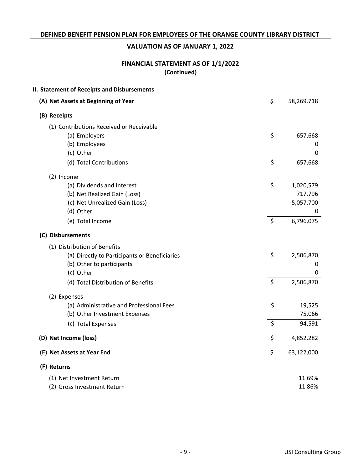# **VALUATION AS OF JANUARY 1, 2022**

# **FINANCIAL STATEMENT AS OF 1/1/2022 (Continued)**

| II. Statement of Receipts and Disbursements   |                  |
|-----------------------------------------------|------------------|
| (A) Net Assets at Beginning of Year           | \$<br>58,269,718 |
| (B) Receipts                                  |                  |
| (1) Contributions Received or Receivable      |                  |
| (a) Employers                                 | \$<br>657,668    |
| (b) Employees                                 | 0                |
| (c) Other                                     | 0                |
| (d) Total Contributions                       | \$<br>657,668    |
| (2) Income                                    |                  |
| (a) Dividends and Interest                    | \$<br>1,020,579  |
| (b) Net Realized Gain (Loss)                  | 717,796          |
| (c) Net Unrealized Gain (Loss)                | 5,057,700        |
| (d) Other                                     | 0                |
| (e) Total Income                              | \$<br>6,796,075  |
| (C) Disbursements                             |                  |
| (1) Distribution of Benefits                  |                  |
| (a) Directly to Participants or Beneficiaries | \$<br>2,506,870  |
| (b) Other to participants                     | 0                |
| (c) Other                                     | 0                |
| (d) Total Distribution of Benefits            | \$<br>2,506,870  |
| (2) Expenses                                  |                  |
| (a) Administrative and Professional Fees      | \$<br>19,525     |
| (b) Other Investment Expenses                 | 75,066           |
| (c) Total Expenses                            | \$<br>94,591     |
| (D) Net Income (loss)                         | \$<br>4,852,282  |
| (E) Net Assets at Year End                    | \$<br>63,122,000 |
| (F) Returns                                   |                  |
| (1) Net Investment Return                     | 11.69%           |
| (2) Gross Investment Return                   | 11.86%           |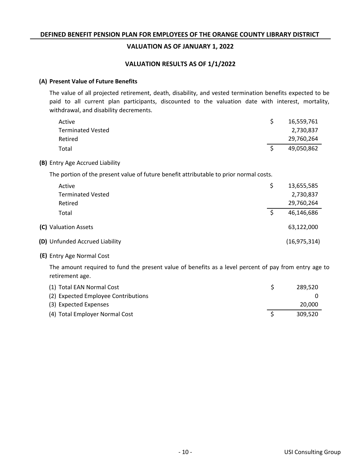## **VALUATION AS OF JANUARY 1, 2022**

### **VALUATION RESULTS AS OF 1/1/2022**

### **Present Value of Future Benefits (A)**

The value of all projected retirement, death, disability, and vested termination benefits expected to be paid to all current plan participants, discounted to the valuation date with interest, mortality, withdrawal, and disability decrements.

| Active                                                                                 | \$<br>16,559,761 |
|----------------------------------------------------------------------------------------|------------------|
| <b>Terminated Vested</b>                                                               | 2,730,837        |
| Retired                                                                                | 29,760,264       |
| Total                                                                                  | \$<br>49,050,862 |
| (B) Entry Age Accrued Liability                                                        |                  |
| The portion of the present value of future benefit attributable to prior normal costs. |                  |
| Active                                                                                 | \$<br>13,655,585 |
| <b>Terminated Vested</b>                                                               | 2,730,837        |
| Retired                                                                                | 29,760,264       |
| Total                                                                                  | \$<br>46,146,686 |
| (C) Valuation Assets                                                                   | 63,122,000       |
| (D) Unfunded Accrued Liability                                                         | (16, 975, 314)   |
|                                                                                        |                  |

Entry Age Normal Cost **(E)**

**(B)**

The amount required to fund the present value of benefits as a level percent of pay from entry age to retirement age.

| (1) Total EAN Normal Cost           | 289.520 |
|-------------------------------------|---------|
| (2) Expected Employee Contributions |         |
| (3) Expected Expenses               | 20,000  |
| (4) Total Employer Normal Cost      | 309.520 |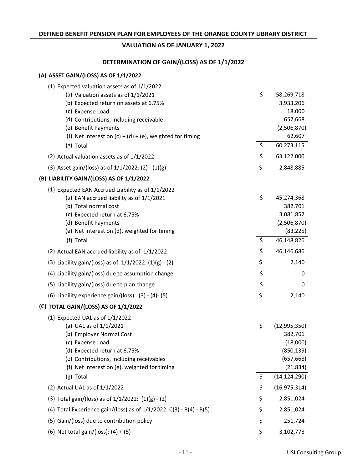## **DETERMINATION OF GAIN/(LOSS) AS OF 1/1/2022**

### **ASSET GAIN/(LOSS) AS OF 1/1/2022 (A)**

| (1) Expected valuation assets as of $1/1/2022$                                                |                        |
|-----------------------------------------------------------------------------------------------|------------------------|
| (a) Valuation assets as of 1/1/2021                                                           | \$<br>58,269,718       |
| (b) Expected return on assets at 6.75%                                                        | 3,933,206              |
| (c) Expense Load                                                                              | 18,000                 |
| (d) Contributions, including receivable                                                       | 657,668                |
| (e) Benefit Payments<br>(f) Net interest on $(c) + (d) + (e)$ , weighted for timing           | (2,506,870)<br>62,607  |
| (g) Total                                                                                     | \$<br>60,273,115       |
| (2) Actual valuation assets as of 1/1/2022                                                    | \$<br>63,122,000       |
| (3) Asset gain/(loss) as of $1/1/2022$ : (2) - (1)(g)                                         | \$<br>2,848,885        |
| (B) LIABILITY GAIN/(LOSS) AS OF 1/1/2022                                                      |                        |
|                                                                                               |                        |
| (1) Expected EAN Accrued Liability as of 1/1/2022<br>(a) EAN accrued liability as of 1/1/2021 | \$<br>45,274,368       |
| (b) Total normal cost                                                                         | 382,701                |
| (c) Expected return at 6.75%                                                                  | 3,081,852              |
| (d) Benefit Payments                                                                          | (2,506,870)            |
| (e) Net interest on (d), weighted for timing                                                  | (83, 225)              |
| (f) Total                                                                                     | \$<br>46,148,826       |
| (2) Actual EAN accrued liability as of 1/1/2022                                               | \$<br>46,146,686       |
| (3) Liability gain/(loss) as of $1/1/2022$ : $(1)(g) - (2)$                                   | \$<br>2,140            |
| (4) Liability gain/(loss) due to assumption change                                            | \$<br>0                |
| (5) Liability gain/(loss) due to plan change                                                  | \$<br>0                |
| (6) Liability experience gain/(loss): (3) - (4)- (5)                                          | \$<br>2,140            |
| (C) TOTAL GAIN/(LOSS) AS OF 1/1/2022                                                          |                        |
| (1) Expected UAL as of $1/1/2022$                                                             |                        |
| (a) UAL as of 1/1/2021                                                                        | \$<br>(12, 995, 350)   |
| (b) Employer Normal Cost                                                                      | 382,701                |
| (c) Expense Load<br>(d) Expected return at 6.75%                                              | (18,000)<br>(850, 139) |
| (e) Contributions, including receivables                                                      | (657, 668)             |
| (f) Net interest on (e), weighted for timing                                                  | (21, 834)              |
| (g) Total                                                                                     | \$<br>(14, 124, 290)   |
| (2) Actual UAL as of $1/1/2022$                                                               | \$<br>(16, 975, 314)   |
| (3) Total gain/(loss) as of $1/1/2022$ : $(1)(g) - (2)$                                       | \$<br>2,851,024        |
| (4) Total Experience gain/(loss) as of $1/1/2022$ : C(3) - B(4) - B(5)                        | \$<br>2,851,024        |
| (5) Gain/(loss) due to contribution policy                                                    | \$<br>251,724          |
| (6) Net total gain/(loss): $(4) + (5)$                                                        | \$<br>3,102,778        |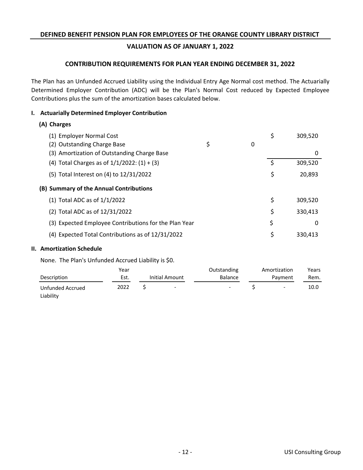# **VALUATION AS OF JANUARY 1, 2022**

## **CONTRIBUTION REQUIREMENTS FOR PLAN YEAR ENDING DECEMBER 31, 2022**

The Plan has an Unfunded Accrued Liability using the Individual Entry Age Normal cost method. The Actuarially Determined Employer Contribution (ADC) will be the Plan's Normal Cost reduced by Expected Employee Contributions plus the sum of the amortization bases calculated below.

## **I. Actuarially Determined Employer Contribution**

## **Charges (A)**

| (1) Employer Normal Cost                              |         | \$ | 309,520 |
|-------------------------------------------------------|---------|----|---------|
| (2) Outstanding Charge Base                           | \$<br>0 |    |         |
| (3) Amortization of Outstanding Charge Base           |         |    | 0       |
| (4) Total Charges as of $1/1/2022$ : $(1) + (3)$      |         | Ŝ. | 309,520 |
| (5) Total Interest on (4) to 12/31/2022               |         | \$ | 20,893  |
| (B) Summary of the Annual Contributions               |         |    |         |
| $(1)$ Total ADC as of $1/1/2022$                      |         | \$ | 309,520 |
| (2) Total ADC as of 12/31/2022                        |         | \$ | 330,413 |
| (3) Expected Employee Contributions for the Plan Year |         | \$ | 0       |
| (4) Expected Total Contributions as of 12/31/2022     |         | \$ | 330.413 |

### **II. Amortization Schedule**

None. The Plan's Unfunded Accrued Liability is \$0.

|                               | Year |                          | Outstanding              | Amortization             | Years |
|-------------------------------|------|--------------------------|--------------------------|--------------------------|-------|
| Description                   | Est. | Initial Amount           | <b>Balance</b>           | Payment                  | Rem.  |
| Unfunded Accrued<br>Liability | 2022 | $\overline{\phantom{a}}$ | $\overline{\phantom{0}}$ | $\overline{\phantom{a}}$ | 10.0  |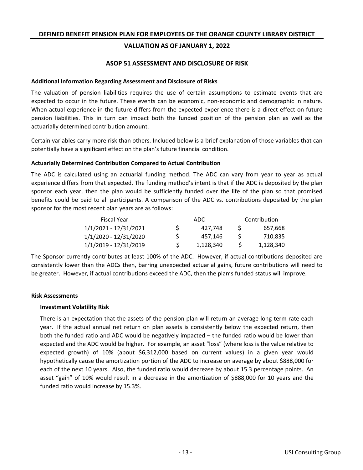## **VALUATION AS OF JANUARY 1, 2022**

### **ASOP 51 ASSESSMENT AND DISCLOSURE OF RISK**

### **Additional Information Regarding Assessment and Disclosure of Risks**

The valuation of pension liabilities requires the use of certain assumptions to estimate events that are expected to occur in the future. These events can be economic, non-economic and demographic in nature. When actual experience in the future differs from the expected experience there is a direct effect on future pension liabilities. This in turn can impact both the funded position of the pension plan as well as the actuarially determined contribution amount.

Certain variables carry more risk than others. Included below is a brief explanation of those variables that can potentially have a significant effect on the plan's future financial condition.

### **Actuarially Determined Contribution Compared to Actual Contribution**

The ADC is calculated using an actuarial funding method. The ADC can vary from year to year as actual experience differs from that expected. The funding method's intent is that if the ADC is deposited by the plan sponsor each year, then the plan would be sufficiently funded over the life of the plan so that promised benefits could be paid to all participants. A comparison of the ADC vs. contributions deposited by the plan sponsor for the most recent plan years are as follows:

| Fiscal Year           |    | ADC.      | Contribution |           |  |
|-----------------------|----|-----------|--------------|-----------|--|
| 1/1/2021 - 12/31/2021 | S. | 427.748   | S.           | 657.668   |  |
| 1/1/2020 - 12/31/2020 | S. | 457.146   |              | 710.835   |  |
| 1/1/2019 - 12/31/2019 |    | 1,128,340 |              | 1,128,340 |  |

The Sponsor currently contributes at least 100% of the ADC. However, if actual contributions deposited are consistently lower than the ADCs then, barring unexpected actuarial gains, future contributions will need to be greater. However, if actual contributions exceed the ADC, then the plan's funded status will improve.

#### **Risk Assessments**

### **Investment Volatility Risk**

There is an expectation that the assets of the pension plan will return an average long-term rate each year. If the actual annual net return on plan assets is consistently below the expected return, then both the funded ratio and ADC would be negatively impacted – the funded ratio would be lower than expected and the ADC would be higher. For example, an asset "loss" (where loss is the value relative to expected growth) of 10% (about \$6,312,000 based on current values) in a given year would hypothetically cause the amortization portion of the ADC to increase on average by about \$888,000 for each of the next 10 years. Also, the funded ratio would decrease by about 15.3 percentage points. An asset "gain" of 10% would result in a decrease in the amortization of \$888,000 for 10 years and the funded ratio would increase by 15.3%.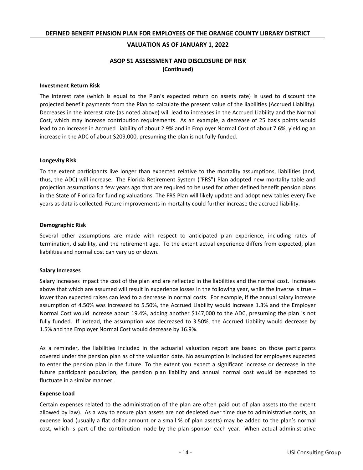### **ASOP 51 ASSESSMENT AND DISCLOSURE OF RISK (Continued)**

#### **Investment Return Risk**

The interest rate (which is equal to the Plan's expected return on assets rate) is used to discount the projected benefit payments from the Plan to calculate the present value of the liabilities (Accrued Liability). Decreases in the interest rate (as noted above) will lead to increases in the Accrued Liability and the Normal Cost, which may increase contribution requirements. As an example, a decrease of 25 basis points would lead to an increase in Accrued Liability of about 2.9% and in Employer Normal Cost of about 7.6%, yielding an increase in the ADC of about \$209,000, presuming the plan is not fully-funded.

#### **Longevity Risk**

To the extent participants live longer than expected relative to the mortality assumptions, liabilities (and, thus, the ADC) will increase. The Florida Retirement System ("FRS") Plan adopted new mortality table and projection assumptions a few years ago that are required to be used for other defined benefit pension plans in the State of Florida for funding valuations. The FRS Plan will likely update and adopt new tables every five years as data is collected. Future improvements in mortality could further increase the accrued liability.

#### **Demographic Risk**

Several other assumptions are made with respect to anticipated plan experience, including rates of termination, disability, and the retirement age. To the extent actual experience differs from expected, plan liabilities and normal cost can vary up or down.

#### **Salary Increases**

Salary increases impact the cost of the plan and are reflected in the liabilities and the normal cost. Increases above that which are assumed will result in experience losses in the following year, while the inverse is true – lower than expected raises can lead to a decrease in normal costs. For example, if the annual salary increase assumption of 4.50% was increased to 5.50%, the Accrued Liability would increase 1.3% and the Employer Normal Cost would increase about 19.4%, adding another \$147,000 to the ADC, presuming the plan is not fully funded. If instead, the assumption was decreased to 3.50%, the Accrued Liability would decrease by 1.5% and the Employer Normal Cost would decrease by 16.9%.

As a reminder, the liabilities included in the actuarial valuation report are based on those participants covered under the pension plan as of the valuation date. No assumption is included for employees expected to enter the pension plan in the future. To the extent you expect a significant increase or decrease in the future participant population, the pension plan liability and annual normal cost would be expected to fluctuate in a similar manner.

#### **Expense Load**

Certain expenses related to the administration of the plan are often paid out of plan assets (to the extent allowed by law). As a way to ensure plan assets are not depleted over time due to administrative costs, an expense load (usually a flat dollar amount or a small % of plan assets) may be added to the plan's normal cost, which is part of the contribution made by the plan sponsor each year. When actual administrative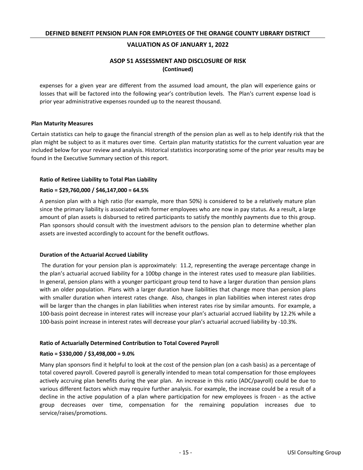## **ASOP 51 ASSESSMENT AND DISCLOSURE OF RISK (Continued)**

expenses for a given year are different from the assumed load amount, the plan will experience gains or losses that will be factored into the following year's contribution levels. The Plan's current expense load is prior year administrative expenses rounded up to the nearest thousand.

### **Plan Maturity Measures**

Certain statistics can help to gauge the financial strength of the pension plan as well as to help identify risk that the plan might be subject to as it matures over time. Certain plan maturity statistics for the current valuation year are included below for your review and analysis. Historical statistics incorporating some of the prior year results may be found in the Executive Summary section of this report.

### **Ratio of Retiree Liability to Total Plan Liability**

### **Ratio = \$29,760,000 / \$46,147,000 = 64.5%**

A pension plan with a high ratio (for example, more than 50%) is considered to be a relatively mature plan since the primary liability is associated with former employees who are now in pay status. As a result, a large amount of plan assets is disbursed to retired participants to satisfy the monthly payments due to this group. Plan sponsors should consult with the investment advisors to the pension plan to determine whether plan assets are invested accordingly to account for the benefit outflows.

### **Duration of the Actuarial Accrued Liability**

The duration for your pension plan is approximately: 11.2, representing the average percentage change in the plan's actuarial accrued liability for a 100bp change in the interest rates used to measure plan liabilities. In general, pension plans with a younger participant group tend to have a larger duration than pension plans with an older population. Plans with a larger duration have liabilities that change more than pension plans with smaller duration when interest rates change. Also, changes in plan liabilities when interest rates drop will be larger than the changes in plan liabilities when interest rates rise by similar amounts. For example, a 100-basis point decrease in interest rates will increase your plan's actuarial accrued liability by 12.2% while a 100-basis point increase in interest rates will decrease your plan's actuarial accrued liability by -10.3%.

### **Ratio of Actuarially Determined Contribution to Total Covered Payroll**

### **Ratio = \$330,000 / \$3,498,000 = 9.0%**

Many plan sponsors find it helpful to look at the cost of the pension plan (on a cash basis) as a percentage of total covered payroll. Covered payroll is generally intended to mean total compensation for those employees actively accruing plan benefits during the year plan. An increase in this ratio (ADC/payroll) could be due to various different factors which may require further analysis. For example, the increase could be a result of a decline in the active population of a plan where participation for new employees is frozen - as the active group decreases over time, compensation for the remaining population increases due to service/raises/promotions.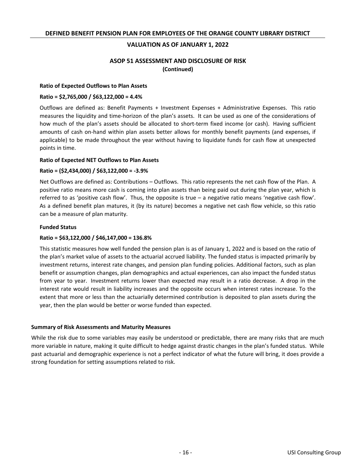### **ASOP 51 ASSESSMENT AND DISCLOSURE OF RISK (Continued)**

### **Ratio of Expected Outflows to Plan Assets**

### **Ratio = \$2,765,000 / \$63,122,000 = 4.4%**

Outflows are defined as: Benefit Payments + Investment Expenses + Administrative Expenses. This ratio measures the liquidity and time-horizon of the plan's assets. It can be used as one of the considerations of how much of the plan's assets should be allocated to short-term fixed income (or cash). Having sufficient amounts of cash on-hand within plan assets better allows for monthly benefit payments (and expenses, if applicable) to be made throughout the year without having to liquidate funds for cash flow at unexpected points in time.

#### **Ratio of Expected NET Outflows to Plan Assets**

### **Ratio = (\$2,434,000) / \$63,122,000 = -3.9%**

Net Outflows are defined as: Contributions – Outflows. This ratio represents the net cash flow of the Plan. A positive ratio means more cash is coming into plan assets than being paid out during the plan year, which is referred to as 'positive cash flow'. Thus, the opposite is true – a negative ratio means 'negative cash flow'. As a defined benefit plan matures, it (by its nature) becomes a negative net cash flow vehicle, so this ratio can be a measure of plan maturity.

#### **Funded Status**

### **Ratio = \$63,122,000 / \$46,147,000 = 136.8%**

This statistic measures how well funded the pension plan is as of January 1, 2022 and is based on the ratio of the plan's market value of assets to the actuarial accrued liability. The funded status is impacted primarily by investment returns, interest rate changes, and pension plan funding policies. Additional factors, such as plan benefit or assumption changes, plan demographics and actual experiences, can also impact the funded status from year to year. Investment returns lower than expected may result in a ratio decrease. A drop in the interest rate would result in liability increases and the opposite occurs when interest rates increase. To the extent that more or less than the actuarially determined contribution is deposited to plan assets during the year, then the plan would be better or worse funded than expected.

### **Summary of Risk Assessments and Maturity Measures**

While the risk due to some variables may easily be understood or predictable, there are many risks that are much more variable in nature, making it quite difficult to hedge against drastic changes in the plan's funded status. While past actuarial and demographic experience is not a perfect indicator of what the future will bring, it does provide a strong foundation for setting assumptions related to risk.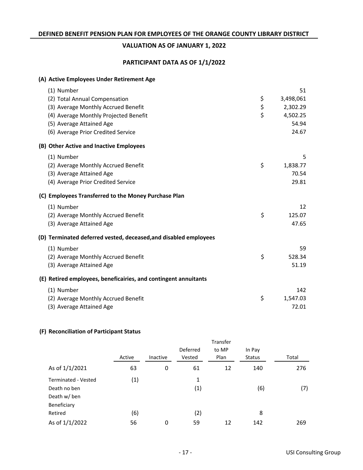# **VALUATION AS OF JANUARY 1, 2022**

## **PARTICIPANT DATA AS OF 1/1/2022**

### (A) Active Employees Under Retirement Age

| (1) Number                                                       | 51              |
|------------------------------------------------------------------|-----------------|
| (2) Total Annual Compensation                                    | \$<br>3,498,061 |
| (3) Average Monthly Accrued Benefit                              | \$<br>2,302.29  |
| (4) Average Monthly Projected Benefit                            | \$<br>4,502.25  |
| (5) Average Attained Age                                         | 54.94           |
| (6) Average Prior Credited Service                               | 24.67           |
| (B) Other Active and Inactive Employees                          |                 |
| (1) Number                                                       | 5               |
| (2) Average Monthly Accrued Benefit                              | \$<br>1,838.77  |
| (3) Average Attained Age                                         | 70.54           |
| (4) Average Prior Credited Service                               | 29.81           |
| (C) Employees Transferred to the Money Purchase Plan             |                 |
| (1) Number                                                       | 12              |
| (2) Average Monthly Accrued Benefit                              | \$<br>125.07    |
| (3) Average Attained Age                                         | 47.65           |
| (D) Terminated deferred vested, deceased, and disabled employees |                 |
| (1) Number                                                       | 59              |
| (2) Average Monthly Accrued Benefit                              | \$<br>528.34    |
| (3) Average Attained Age                                         | 51.19           |
| (E) Retired employees, beneficairies, and contingent annuitants  |                 |
| (1) Number                                                       | 142             |
| (2) Average Monthly Accrued Benefit                              | \$<br>1,547.03  |
| (3) Average Attained Age                                         | 72.01           |

### **Reconciliation of Participant Status (F)**

|                            | Active | Inactive | Deferred<br>Vested | to MP<br>Plan | In Pay<br><b>Status</b> | Total |
|----------------------------|--------|----------|--------------------|---------------|-------------------------|-------|
|                            |        |          |                    |               |                         |       |
| As of 1/1/2021             | 63     | 0        | 61                 | 12            | 140                     | 276   |
| <b>Terminated - Vested</b> | (1)    |          | 1                  |               |                         |       |
| Death no ben               |        |          | (1)                |               | (6)                     | (7)   |
| Death w/ ben               |        |          |                    |               |                         |       |
| Beneficiary                |        |          |                    |               |                         |       |
| Retired                    | (6)    |          | (2)                |               | 8                       |       |
| As of 1/1/2022             | 56     | 0        | 59                 | 12            | 142                     | 269   |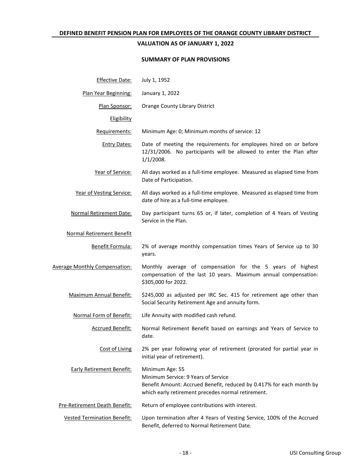### **VALUATION AS OF JANUARY 1, 2022**

### **SUMMARY OF PLAN PROVISIONS**

| <b>Effective Date:</b>               | July 1, 1952                                                                                                                                                                         |
|--------------------------------------|--------------------------------------------------------------------------------------------------------------------------------------------------------------------------------------|
| Plan Year Beginning:                 | January 1, 2022                                                                                                                                                                      |
| Plan Sponsor:                        | Orange County Library District                                                                                                                                                       |
| Eligibility                          |                                                                                                                                                                                      |
| Requirements:                        | Minimum Age: 0; Minimum months of service: 12                                                                                                                                        |
| <b>Entry Dates:</b>                  | Date of meeting the requirements for employees hired on or before<br>12/31/2006. No participants will be allowed to enter the Plan after<br>$1/1/2008$ .                             |
| Year of Service:                     | All days worked as a full-time employee. Measured as elapsed time from<br>Date of Participation.                                                                                     |
| Year of Vesting Service:             | All days worked as a full-time employee. Measured as elapsed time from<br>date of hire as a full-time employee.                                                                      |
| <b>Normal Retirement Date:</b>       | Day participant turns 65 or, if later, completion of 4 Years of Vesting<br>Service in the Plan.                                                                                      |
| <b>Normal Retirement Benefit</b>     |                                                                                                                                                                                      |
| Benefit Formula:                     | 2% of average monthly compensation times Years of Service up to 30<br>years.                                                                                                         |
| <b>Average Monthly Compensation:</b> | Monthly average of compensation for the 5 years of highest<br>compensation of the last 10 years. Maximum annual compensation:<br>\$305,000 for 2022.                                 |
| <b>Maximum Annual Benefit:</b>       | \$245,000 as adjusted per IRC Sec. 415 for retirement age other than<br>Social Security Retirement Age and annuity form.                                                             |
| Normal Form of Benefit:              | Life Annuity with modified cash refund.                                                                                                                                              |
| <b>Accrued Benefit:</b>              | Normal Retirement Benefit based on earnings and Years of Service to<br>date.                                                                                                         |
| Cost of Living                       | 2% per year following year of retirement (prorated for partial year in<br>initial year of retirement).                                                                               |
| <b>Early Retirement Benefit:</b>     | Minimum Age: 55<br>Minimum Service: 9 Years of Service<br>Benefit Amount: Accrued Benefit, reduced by 0.417% for each month by<br>which early retirement precedes normal retirement. |
| Pre-Retirement Death Benefit:        | Return of employee contributions with interest.                                                                                                                                      |
| <b>Vested Termination Benefit:</b>   | Upon termination after 4 Years of Vesting Service, 100% of the Accrued<br>Benefit, deferred to Normal Retirement Date.                                                               |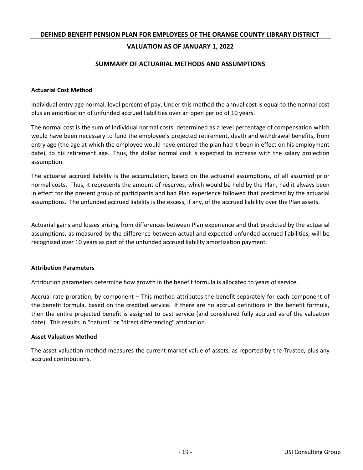## **VALUATION AS OF JANUARY 1, 2022**

### **SUMMARY OF ACTUARIAL METHODS AND ASSUMPTIONS**

### **Actuarial Cost Method**

Individual entry age normal, level percent of pay. Under this method the annual cost is equal to the normal cost plus an amortization of unfunded accrued liabilities over an open period of 10 years.

The normal cost is the sum of individual normal costs, determined as a level percentage of compensation which would have been necessary to fund the employee's projected retirement, death and withdrawal benefits, from entry age (the age at which the employee would have entered the plan had it been in effect on his employment date), to his retirement age. Thus, the dollar normal cost is expected to increase with the salary projection assumption.

The actuarial accrued liability is the accumulation, based on the actuarial assumptions, of all assumed prior normal costs. Thus, it represents the amount of reserves, which would be held by the Plan, had it always been in effect for the present group of participants and had Plan experience followed that predicted by the actuarial assumptions. The unfunded accrued liability is the excess, if any, of the accrued liability over the Plan assets.

Actuarial gains and losses arising from differences between Plan experience and that predicted by the actuarial assumptions, as measured by the difference between actual and expected unfunded accrued liabilities, will be recognized over 10 years as part of the unfunded accrued liability amortization payment.

### **Attribution Parameters**

Attribution parameters determine how growth in the benefit formula is allocated to years of service.

Accrual rate proration, by component – This method attributes the benefit separately for each component of the benefit formula, based on the credited service. If there are no accrual definitions in the benefit formula, then the entire projected benefit is assigned to past service (and considered fully accrued as of the valuation date). This results in "natural" or "direct differencing" attribution.

### **Asset Valuation Method**

The asset valuation method measures the current market value of assets, as reported by the Trustee, plus any accrued contributions.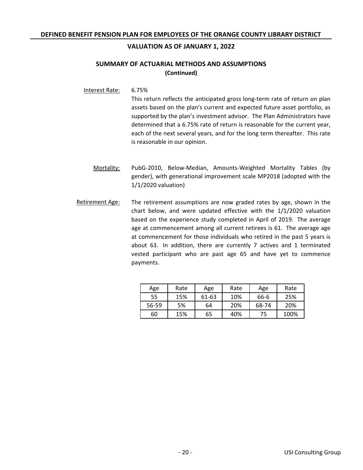## **SUMMARY OF ACTUARIAL METHODS AND ASSUMPTIONS (Continued)**

Interest Rate: 6.75%

This return reflects the anticipated gross long-term rate of return on plan assets based on the plan's current and expected future asset portfolio, as supported by the plan's investment advisor. The Plan Administrators have determined that a 6.75% rate of return is reasonable for the current year, each of the next several years, and for the long term thereafter. This rate is reasonable in our opinion.

- PubG-2010, Below-Median, Amounts-Weighted Mortality Tables (by gender), with generational improvement scale MP2018 (adopted with the 1/1/2020 valuation) Mortality:
- Retirement Age: The retirement assumptions are now graded rates by age, shown in the chart below, and were updated effective with the 1/1/2020 valuation based on the experience study completed in April of 2019. The average age at commencement among all current retirees is 61. The average age at commencement for those individuals who retired in the past 5 years is about 63. In addition, there are currently 7 actives and 1 terminated vested participant who are past age 65 and have yet to commence payments.

| Age   | Rate | Age   | Rate | Age   | Rate |
|-------|------|-------|------|-------|------|
| 55    | 15%  | 61-63 | 10%  | 66-6  | 25%  |
| 56-59 | 5%   | 64    | 20%  | 68-74 | 20%  |
| 60    | 15%  | 65    | 40%  | 75    | 100% |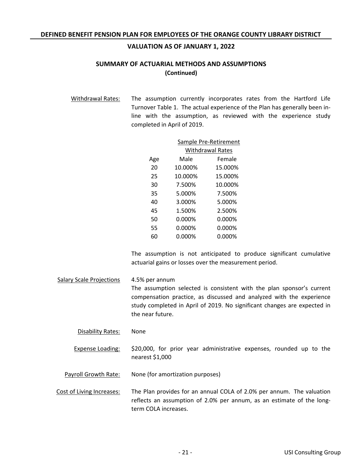## **SUMMARY OF ACTUARIAL METHODS AND ASSUMPTIONS (Continued)**

Withdrawal Rates: The assumption currently incorporates rates from the Hartford Life Turnover Table 1. The actual experience of the Plan has generally been inline with the assumption, as reviewed with the experience study completed in April of 2019.

|     | Sample Pre-Retirement |                         |  |  |
|-----|-----------------------|-------------------------|--|--|
|     |                       | <b>Withdrawal Rates</b> |  |  |
| Age | Male                  | Female                  |  |  |
| 20  | 10.000%               | 15.000%                 |  |  |
| 25  | 10.000%               | 15.000%                 |  |  |
| 30  | 7.500%                | 10.000%                 |  |  |
| 35  | 5.000%                | 7.500%                  |  |  |
| 40  | 3.000%                | 5.000%                  |  |  |
| 45  | 1.500%                | 2.500%                  |  |  |
| 50  | 0.000%                | 0.000%                  |  |  |
| 55  | 0.000%                | 0.000%                  |  |  |
| 60  | 0.000%                | 0.000%                  |  |  |

The assumption is not anticipated to produce significant cumulative actuarial gains or losses over the measurement period.

Salary Scale Projections 4.5% per annum The assumption selected is consistent with the plan sponsor's current compensation practice, as discussed and analyzed with the experience study completed in April of 2019. No significant changes are expected in the near future.

Disability Rates: None

Expense Loading: \$20,000, for prior year administrative expenses, rounded up to the nearest \$1,000

Payroll Growth Rate: None (for amortization purposes)

Cost of Living Increases: The Plan provides for an annual COLA of 2.0% per annum. The valuation reflects an assumption of 2.0% per annum, as an estimate of the longterm COLA increases.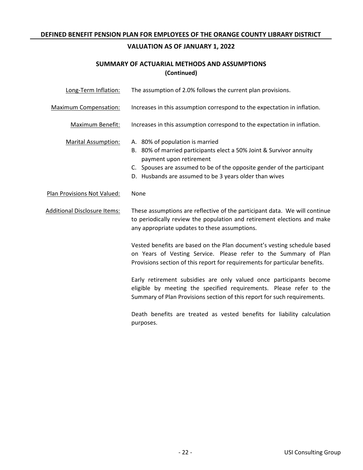# **VALUATION AS OF JANUARY 1, 2022**

# **SUMMARY OF ACTUARIAL METHODS AND ASSUMPTIONS (Continued)**

| Long-Term Inflation:         | The assumption of 2.0% follows the current plan provisions.                                                                                                                                                                                                           |
|------------------------------|-----------------------------------------------------------------------------------------------------------------------------------------------------------------------------------------------------------------------------------------------------------------------|
| <b>Maximum Compensation:</b> | Increases in this assumption correspond to the expectation in inflation.                                                                                                                                                                                              |
| Maximum Benefit:             | Increases in this assumption correspond to the expectation in inflation.                                                                                                                                                                                              |
| <b>Marital Assumption:</b>   | A. 80% of population is married<br>B. 80% of married participants elect a 50% Joint & Survivor annuity<br>payment upon retirement<br>C. Spouses are assumed to be of the opposite gender of the participant<br>D. Husbands are assumed to be 3 years older than wives |
| Plan Provisions Not Valued:  | None                                                                                                                                                                                                                                                                  |
| Additional Disclosure Items: | These assumptions are reflective of the participant data. We will continue<br>to periodically review the population and retirement elections and make<br>any appropriate updates to these assumptions.                                                                |
|                              | Vested benefits are based on the Plan document's vesting schedule based<br>on Years of Vesting Service. Please refer to the Summary of Plan<br>Provisions section of this report for requirements for particular benefits.                                            |
|                              | Early retirement subsidies are only valued once participants become<br>eligible by meeting the specified requirements. Please refer to the<br>Summary of Plan Provisions section of this report for such requirements.                                                |
|                              | Death benefits are treated as vested benefits for liability calculation<br>purposes.                                                                                                                                                                                  |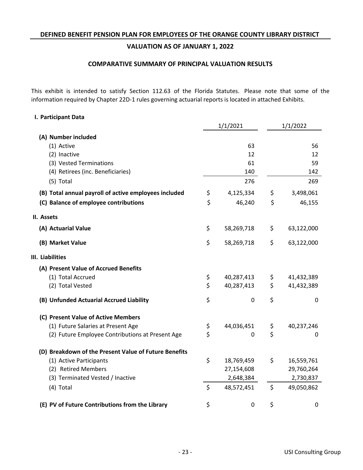### **COMPARATIVE SUMMARY OF PRINCIPAL VALUATION RESULTS**

This exhibit is intended to satisfy Section 112.63 of the Florida Statutes. Please note that some of the information required by Chapter 22D-1 rules governing actuarial reports is located in attached Exhibits.

### **I. Participant Data**

|                                                       | 1/1/2021 |            | 1/1/2022 |             |
|-------------------------------------------------------|----------|------------|----------|-------------|
| (A) Number included                                   |          |            |          |             |
| (1) Active                                            |          | 63         |          | 56          |
| (2) Inactive                                          |          | 12         |          | 12          |
| (3) Vested Terminations                               |          | 61         |          | 59          |
| (4) Retirees (inc. Beneficiaries)                     |          | 140        |          | 142         |
| (5) Total                                             |          | 276        |          | 269         |
| (B) Total annual payroll of active employees included | \$       | 4,125,334  | \$       | 3,498,061   |
| (C) Balance of employee contributions                 | \$       | 46,240     | \$       | 46,155      |
| II. Assets                                            |          |            |          |             |
| (A) Actuarial Value                                   | \$       | 58,269,718 | \$       | 63,122,000  |
| (B) Market Value                                      | \$       | 58,269,718 | \$       | 63,122,000  |
| III. Liabilities                                      |          |            |          |             |
| (A) Present Value of Accrued Benefits                 |          |            |          |             |
| (1) Total Accrued                                     | \$       | 40,287,413 | \$       | 41,432,389  |
| (2) Total Vested                                      | \$       | 40,287,413 | \$       | 41,432,389  |
| (B) Unfunded Actuarial Accrued Liability              | \$       | 0          | \$       | $\mathbf 0$ |
| (C) Present Value of Active Members                   |          |            |          |             |
| (1) Future Salaries at Present Age                    | \$       | 44,036,451 | Ş        | 40,237,246  |
| (2) Future Employee Contributions at Present Age      | \$       | 0          | \$       | 0           |
| (D) Breakdown of the Present Value of Future Benefits |          |            |          |             |
| (1) Active Participants                               | \$       | 18,769,459 | \$       | 16,559,761  |
| (2) Retired Members                                   |          | 27,154,608 |          | 29,760,264  |
| (3) Terminated Vested / Inactive                      |          | 2,648,384  |          | 2,730,837   |
| (4) Total                                             | \$       | 48,572,451 | \$       | 49,050,862  |
| (E) PV of Future Contributions from the Library       | \$       | 0          | \$       | 0           |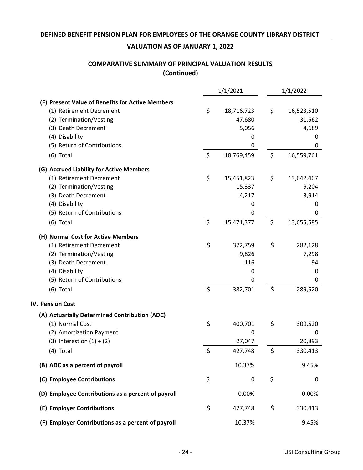# **COMPARATIVE SUMMARY OF PRINCIPAL VALUATION RESULTS (Continued)**

|                                                    | 1/1/2021         | 1/1/2022          |
|----------------------------------------------------|------------------|-------------------|
| (F) Present Value of Benefits for Active Members   |                  |                   |
| (1) Retirement Decrement                           | \$<br>18,716,723 | \$<br>16,523,510  |
| (2) Termination/Vesting                            | 47,680           | 31,562            |
| (3) Death Decrement                                | 5,056            | 4,689             |
| (4) Disability                                     | 0                | 0                 |
| (5) Return of Contributions                        | 0                | 0                 |
| $(6)$ Total                                        | \$<br>18,769,459 | \$<br>16,559,761  |
| (G) Accrued Liability for Active Members           |                  |                   |
| (1) Retirement Decrement                           | \$<br>15,451,823 | \$<br>13,642,467  |
| (2) Termination/Vesting                            | 15,337           | 9,204             |
| (3) Death Decrement                                | 4,217            | 3,914             |
| (4) Disability                                     | 0                | 0                 |
| (5) Return of Contributions                        | 0                | 0                 |
| $(6)$ Total                                        | \$<br>15,471,377 | \$<br>13,655,585  |
| (H) Normal Cost for Active Members                 |                  |                   |
| (1) Retirement Decrement                           | \$<br>372,759    | \$<br>282,128     |
| (2) Termination/Vesting                            | 9,826            | 7,298             |
| (3) Death Decrement                                | 116              | 94                |
|                                                    |                  |                   |
| (4) Disability                                     | 0                | 0                 |
| (5) Return of Contributions                        | 0                | 0                 |
| (6) Total                                          | \$<br>382,701    | \$<br>289,520     |
| <b>IV. Pension Cost</b>                            |                  |                   |
| (A) Actuarially Determined Contribution (ADC)      |                  |                   |
| (1) Normal Cost                                    | \$<br>400,701    | \$<br>309,520     |
| (2) Amortization Payment                           | 0                | 0                 |
| (3) Interest on $(1) + (2)$                        | 27,047           | 20,893            |
| (4) Total                                          | \$<br>427,748    | \$<br>330,413     |
| (B) ADC as a percent of payroll                    | 10.37%           | 9.45%             |
| (C) Employee Contributions                         | \$<br>0          | \$<br>$\mathbf 0$ |
| (D) Employee Contributions as a percent of payroll | 0.00%            | 0.00%             |
| (E) Employer Contributions                         | \$<br>427,748    | \$<br>330,413     |
| (F) Employer Contributions as a percent of payroll | 10.37%           | 9.45%             |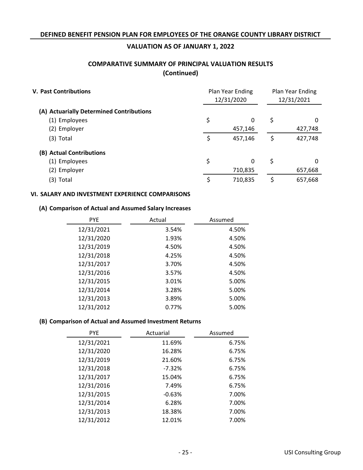# **COMPARATIVE SUMMARY OF PRINCIPAL VALUATION RESULTS (Continued)**

| <b>V. Past Contributions</b>             | Plan Year Ending<br>12/31/2020 |          | Plan Year Ending<br>12/31/2021 |         |
|------------------------------------------|--------------------------------|----------|--------------------------------|---------|
| (A) Actuarially Determined Contributions |                                |          |                                |         |
| (1) Employees                            | \$                             | 0        | \$                             | 0       |
| (2) Employer                             |                                | 457,146  |                                | 427,748 |
| $(3)$ Total                              | \$                             | 457,146  | \$                             | 427,748 |
| (B) Actual Contributions                 |                                |          |                                |         |
| (1) Employees                            | \$                             | $\Omega$ | \$                             | 0       |
| (2) Employer                             |                                | 710,835  |                                | 657,668 |
| (3) Total                                |                                | 710,835  | S                              | 657,668 |

### **VI. SALARY AND INVESTMENT EXPERIENCE COMPARISONS**

### **Comparison of Actual and Assumed Salary Increases (A)**

| <b>PYE</b> | Actual | Assumed |
|------------|--------|---------|
| 12/31/2021 | 3.54%  | 4.50%   |
| 12/31/2020 | 1.93%  | 4.50%   |
| 12/31/2019 | 4.50%  | 4.50%   |
| 12/31/2018 | 4.25%  | 4.50%   |
| 12/31/2017 | 3.70%  | 4.50%   |
| 12/31/2016 | 3.57%  | 4.50%   |
| 12/31/2015 | 3.01%  | 5.00%   |
| 12/31/2014 | 3.28%  | 5.00%   |
| 12/31/2013 | 3.89%  | 5.00%   |
| 12/31/2012 | 0.77%  | 5.00%   |

### **Comparison of Actual and Assumed Investment Returns (B)**

| <b>PYE</b> | Actuarial | Assumed |
|------------|-----------|---------|
| 12/31/2021 | 11.69%    | 6.75%   |
| 12/31/2020 | 16.28%    | 6.75%   |
| 12/31/2019 | 21.60%    | 6.75%   |
| 12/31/2018 | $-7.32%$  | 6.75%   |
| 12/31/2017 | 15.04%    | 6.75%   |
| 12/31/2016 | 7.49%     | 6.75%   |
| 12/31/2015 | $-0.63%$  | 7.00%   |
| 12/31/2014 | 6.28%     | 7.00%   |
| 12/31/2013 | 18.38%    | 7.00%   |
| 12/31/2012 | 12.01%    | 7.00%   |